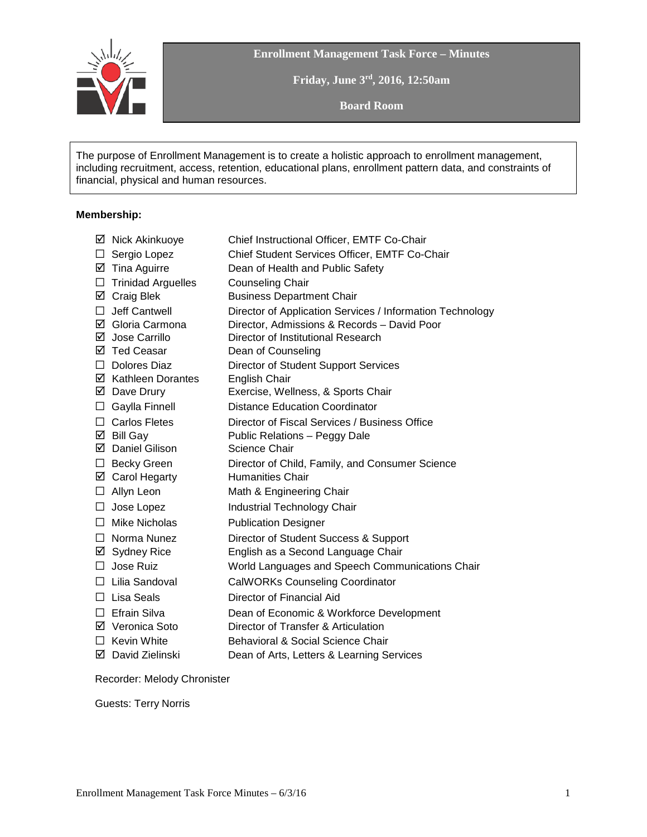

**Enrollment Management Task Force – Minutes**

**Friday, June 3rd, 2016, 12:50am**

**Board Room**

The purpose of Enrollment Management is to create a holistic approach to enrollment management, including recruitment, access, retention, educational plans, enrollment pattern data, and constraints of financial, physical and human resources.

#### **Membership:**

|         | ☑ Nick Akinkuoye          | Chief Instructional Officer, EMTF Co-Chair                |
|---------|---------------------------|-----------------------------------------------------------|
| ⊔       | Sergio Lopez              | Chief Student Services Officer, EMTF Co-Chair             |
|         | $\boxtimes$ Tina Aguirre  | Dean of Health and Public Safety                          |
| $\Box$  | <b>Trinidad Arguelles</b> | <b>Counseling Chair</b>                                   |
|         | ☑ Craig Blek              | <b>Business Department Chair</b>                          |
| П       | Jeff Cantwell             | Director of Application Services / Information Technology |
|         | ☑ Gloria Carmona          | Director, Admissions & Records - David Poor               |
|         | ☑ Jose Carrillo           | Director of Institutional Research                        |
|         | ☑ Ted Ceasar              | Dean of Counseling                                        |
|         | $\Box$ Dolores Diaz       | Director of Student Support Services                      |
|         | ☑ Kathleen Dorantes       | English Chair                                             |
|         | $\boxtimes$ Dave Drury    | Exercise, Wellness, & Sports Chair                        |
| $\Box$  | Gaylla Finnell            | <b>Distance Education Coordinator</b>                     |
|         | $\Box$ Carlos Fletes      | Director of Fiscal Services / Business Office             |
|         | $\boxtimes$ Bill Gay      | Public Relations - Peggy Dale                             |
|         | ☑ Daniel Gilison          | Science Chair                                             |
|         | $\Box$ Becky Green        | Director of Child, Family, and Consumer Science           |
|         | ☑ Carol Hegarty           | <b>Humanities Chair</b>                                   |
|         | $\Box$ Allyn Leon         | Math & Engineering Chair                                  |
| $\Box$  | Jose Lopez                | Industrial Technology Chair                               |
|         | $\Box$ Mike Nicholas      | <b>Publication Designer</b>                               |
|         | $\Box$ Norma Nunez        | Director of Student Success & Support                     |
|         | ☑ Sydney Rice             | English as a Second Language Chair                        |
| $\Box$  | Jose Ruiz                 | World Languages and Speech Communications Chair           |
|         | $\Box$ Lilia Sandoval     | <b>CalWORKs Counseling Coordinator</b>                    |
| $\perp$ | Lisa Seals                | Director of Financial Aid                                 |
| П       | Efrain Silva              | Dean of Economic & Workforce Development                  |
|         | ☑ Veronica Soto           | Director of Transfer & Articulation                       |
|         | $\Box$ Kevin White        | <b>Behavioral &amp; Social Science Chair</b>              |
|         | ☑ David Zielinski         | Dean of Arts, Letters & Learning Services                 |
|         |                           |                                                           |

Recorder: Melody Chronister

Guests: Terry Norris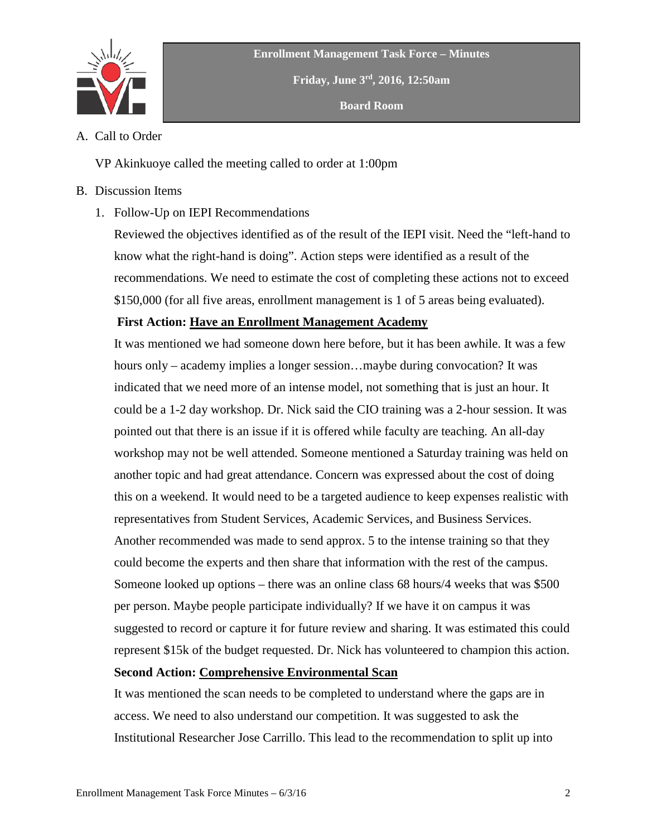

**Friday, June 3rd, 2016, 12:50am**

**Board Room**

A. Call to Order

VP Akinkuoye called the meeting called to order at 1:00pm

# B. Discussion Items

1. Follow-Up on IEPI Recommendations

Reviewed the objectives identified as of the result of the IEPI visit. Need the "left-hand to know what the right-hand is doing". Action steps were identified as a result of the recommendations. We need to estimate the cost of completing these actions not to exceed \$150,000 (for all five areas, enrollment management is 1 of 5 areas being evaluated).

# **First Action: Have an Enrollment Management Academy**

It was mentioned we had someone down here before, but it has been awhile. It was a few hours only – academy implies a longer session...maybe during convocation? It was indicated that we need more of an intense model, not something that is just an hour. It could be a 1-2 day workshop. Dr. Nick said the CIO training was a 2-hour session. It was pointed out that there is an issue if it is offered while faculty are teaching. An all-day workshop may not be well attended. Someone mentioned a Saturday training was held on another topic and had great attendance. Concern was expressed about the cost of doing this on a weekend. It would need to be a targeted audience to keep expenses realistic with representatives from Student Services, Academic Services, and Business Services. Another recommended was made to send approx. 5 to the intense training so that they could become the experts and then share that information with the rest of the campus. Someone looked up options – there was an online class 68 hours/4 weeks that was \$500 per person. Maybe people participate individually? If we have it on campus it was suggested to record or capture it for future review and sharing. It was estimated this could represent \$15k of the budget requested. Dr. Nick has volunteered to champion this action. **Second Action: Comprehensive Environmental Scan**

It was mentioned the scan needs to be completed to understand where the gaps are in access. We need to also understand our competition. It was suggested to ask the Institutional Researcher Jose Carrillo. This lead to the recommendation to split up into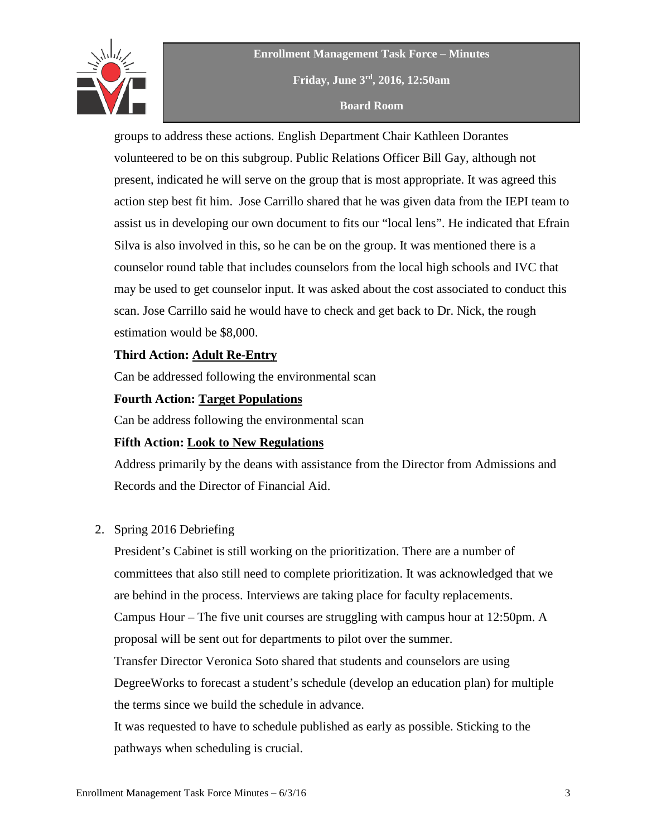

**Enrollment Management Task Force – Minutes Friday, June 3rd, 2016, 12:50am Board Room**

groups to address these actions. English Department Chair Kathleen Dorantes volunteered to be on this subgroup. Public Relations Officer Bill Gay, although not present, indicated he will serve on the group that is most appropriate. It was agreed this action step best fit him. Jose Carrillo shared that he was given data from the IEPI team to assist us in developing our own document to fits our "local lens". He indicated that Efrain Silva is also involved in this, so he can be on the group. It was mentioned there is a counselor round table that includes counselors from the local high schools and IVC that may be used to get counselor input. It was asked about the cost associated to conduct this scan. Jose Carrillo said he would have to check and get back to Dr. Nick, the rough estimation would be \$8,000.

## **Third Action: Adult Re-Entry**

Can be addressed following the environmental scan

### **Fourth Action: Target Populations**

Can be address following the environmental scan

### **Fifth Action: Look to New Regulations**

Address primarily by the deans with assistance from the Director from Admissions and Records and the Director of Financial Aid.

### 2. Spring 2016 Debriefing

President's Cabinet is still working on the prioritization. There are a number of committees that also still need to complete prioritization. It was acknowledged that we are behind in the process. Interviews are taking place for faculty replacements.

Campus Hour – The five unit courses are struggling with campus hour at 12:50pm. A proposal will be sent out for departments to pilot over the summer.

Transfer Director Veronica Soto shared that students and counselors are using

DegreeWorks to forecast a student's schedule (develop an education plan) for multiple the terms since we build the schedule in advance.

It was requested to have to schedule published as early as possible. Sticking to the pathways when scheduling is crucial.